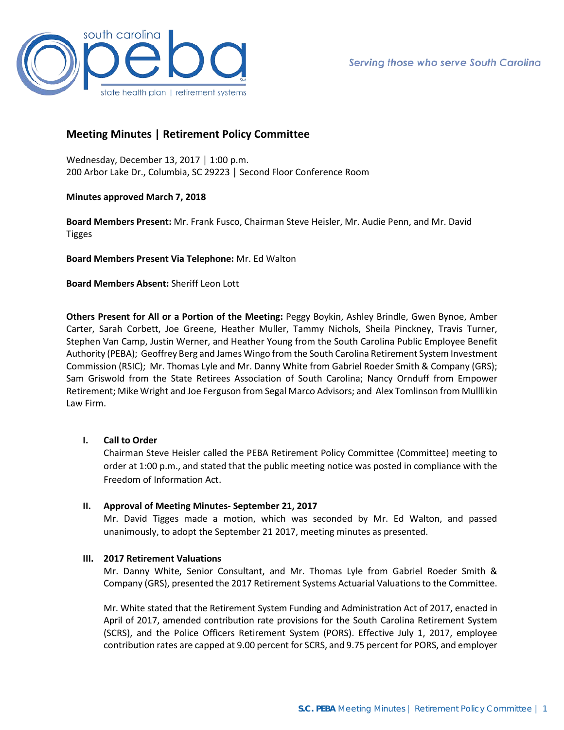

# **Meeting Minutes | Retirement Policy Committee**

Wednesday, December 13, 2017 │ 1:00 p.m. 200 Arbor Lake Dr., Columbia, SC 29223 │ Second Floor Conference Room

## **Minutes approved March 7, 2018**

**Board Members Present:** Mr. Frank Fusco, Chairman Steve Heisler, Mr. Audie Penn, and Mr. David Tigges

**Board Members Present Via Telephone:** Mr. Ed Walton

**Board Members Absent:** Sheriff Leon Lott

**Others Present for All or a Portion of the Meeting:** Peggy Boykin, Ashley Brindle, Gwen Bynoe, Amber Carter, Sarah Corbett, Joe Greene, Heather Muller, Tammy Nichols, Sheila Pinckney, Travis Turner, Stephen Van Camp, Justin Werner, and Heather Young from the South Carolina Public Employee Benefit Authority (PEBA); Geoffrey Berg and James Wingo from the South Carolina Retirement System Investment Commission (RSIC); Mr. Thomas Lyle and Mr. Danny White from Gabriel Roeder Smith & Company (GRS); Sam Griswold from the State Retirees Association of South Carolina; Nancy Ornduff from Empower Retirement; Mike Wright and Joe Ferguson from Segal Marco Advisors; and Alex Tomlinson from Mulllikin Law Firm.

## **I. Call to Order**

Chairman Steve Heisler called the PEBA Retirement Policy Committee (Committee) meeting to order at 1:00 p.m., and stated that the public meeting notice was posted in compliance with the Freedom of Information Act.

## **II. Approval of Meeting Minutes- September 21, 2017**

Mr. David Tigges made a motion, which was seconded by Mr. Ed Walton, and passed unanimously, to adopt the September 21 2017, meeting minutes as presented.

## **III. 2017 Retirement Valuations**

Mr. Danny White, Senior Consultant, and Mr. Thomas Lyle from Gabriel Roeder Smith & Company (GRS), presented the 2017 Retirement Systems Actuarial Valuations to the Committee.

Mr. White stated that the Retirement System Funding and Administration Act of 2017, enacted in April of 2017, amended contribution rate provisions for the South Carolina Retirement System (SCRS), and the Police Officers Retirement System (PORS). Effective July 1, 2017, employee contribution rates are capped at 9.00 percent for SCRS, and 9.75 percent for PORS, and employer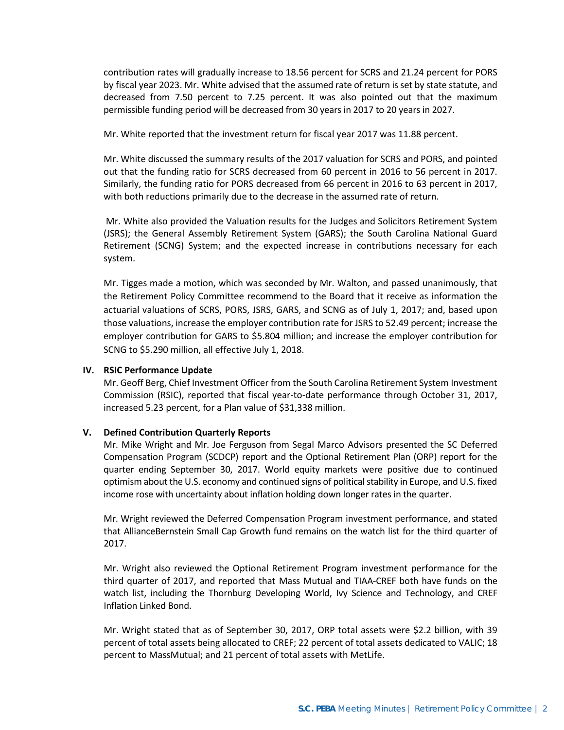contribution rates will gradually increase to 18.56 percent for SCRS and 21.24 percent for PORS by fiscal year 2023. Mr. White advised that the assumed rate of return is set by state statute, and decreased from 7.50 percent to 7.25 percent. It was also pointed out that the maximum permissible funding period will be decreased from 30 years in 2017 to 20 years in 2027.

Mr. White reported that the investment return for fiscal year 2017 was 11.88 percent.

Mr. White discussed the summary results of the 2017 valuation for SCRS and PORS, and pointed out that the funding ratio for SCRS decreased from 60 percent in 2016 to 56 percent in 2017. Similarly, the funding ratio for PORS decreased from 66 percent in 2016 to 63 percent in 2017, with both reductions primarily due to the decrease in the assumed rate of return.

Mr. White also provided the Valuation results for the Judges and Solicitors Retirement System (JSRS); the General Assembly Retirement System (GARS); the South Carolina National Guard Retirement (SCNG) System; and the expected increase in contributions necessary for each system.

Mr. Tigges made a motion, which was seconded by Mr. Walton, and passed unanimously, that the Retirement Policy Committee recommend to the Board that it receive as information the actuarial valuations of SCRS, PORS, JSRS, GARS, and SCNG as of July 1, 2017; and, based upon those valuations, increase the employer contribution rate for JSRS to 52.49 percent; increase the employer contribution for GARS to \$5.804 million; and increase the employer contribution for SCNG to \$5.290 million, all effective July 1, 2018.

### **IV. RSIC Performance Update**

Mr. Geoff Berg, Chief Investment Officer from the South Carolina Retirement System Investment Commission (RSIC), reported that fiscal year-to-date performance through October 31, 2017, increased 5.23 percent, for a Plan value of \$31,338 million.

## **V. Defined Contribution Quarterly Reports**

Mr. Mike Wright and Mr. Joe Ferguson from Segal Marco Advisors presented the SC Deferred Compensation Program (SCDCP) report and the Optional Retirement Plan (ORP) report for the quarter ending September 30, 2017. World equity markets were positive due to continued optimism about the U.S. economy and continued signs of political stability in Europe, and U.S. fixed income rose with uncertainty about inflation holding down longer rates in the quarter.

Mr. Wright reviewed the Deferred Compensation Program investment performance, and stated that AllianceBernstein Small Cap Growth fund remains on the watch list for the third quarter of 2017.

Mr. Wright also reviewed the Optional Retirement Program investment performance for the third quarter of 2017, and reported that Mass Mutual and TIAA-CREF both have funds on the watch list, including the Thornburg Developing World, Ivy Science and Technology, and CREF Inflation Linked Bond.

Mr. Wright stated that as of September 30, 2017, ORP total assets were \$2.2 billion, with 39 percent of total assets being allocated to CREF; 22 percent of total assets dedicated to VALIC; 18 percent to MassMutual; and 21 percent of total assets with MetLife.